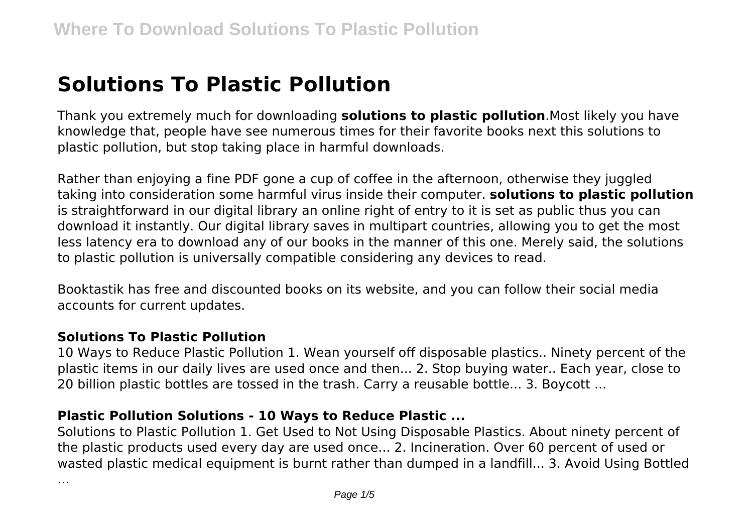# **Solutions To Plastic Pollution**

Thank you extremely much for downloading **solutions to plastic pollution**.Most likely you have knowledge that, people have see numerous times for their favorite books next this solutions to plastic pollution, but stop taking place in harmful downloads.

Rather than enjoying a fine PDF gone a cup of coffee in the afternoon, otherwise they juggled taking into consideration some harmful virus inside their computer. **solutions to plastic pollution** is straightforward in our digital library an online right of entry to it is set as public thus you can download it instantly. Our digital library saves in multipart countries, allowing you to get the most less latency era to download any of our books in the manner of this one. Merely said, the solutions to plastic pollution is universally compatible considering any devices to read.

Booktastik has free and discounted books on its website, and you can follow their social media accounts for current updates.

#### **Solutions To Plastic Pollution**

10 Ways to Reduce Plastic Pollution 1. Wean yourself off disposable plastics.. Ninety percent of the plastic items in our daily lives are used once and then... 2. Stop buying water.. Each year, close to 20 billion plastic bottles are tossed in the trash. Carry a reusable bottle... 3. Boycott ...

#### **Plastic Pollution Solutions - 10 Ways to Reduce Plastic ...**

Solutions to Plastic Pollution 1. Get Used to Not Using Disposable Plastics. About ninety percent of the plastic products used every day are used once... 2. Incineration. Over 60 percent of used or wasted plastic medical equipment is burnt rather than dumped in a landfill... 3. Avoid Using Bottled

...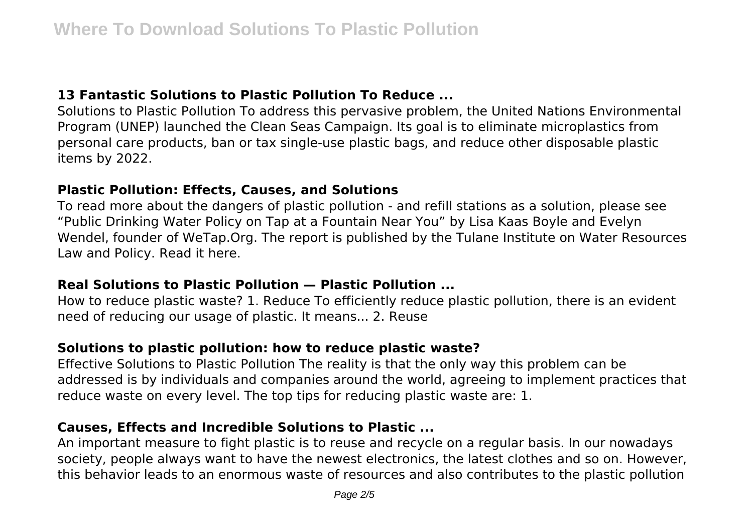## **13 Fantastic Solutions to Plastic Pollution To Reduce ...**

Solutions to Plastic Pollution To address this pervasive problem, the United Nations Environmental Program (UNEP) launched the Clean Seas Campaign. Its goal is to eliminate microplastics from personal care products, ban or tax single-use plastic bags, and reduce other disposable plastic items by 2022.

#### **Plastic Pollution: Effects, Causes, and Solutions**

To read more about the dangers of plastic pollution - and refill stations as a solution, please see "Public Drinking Water Policy on Tap at a Fountain Near You" by Lisa Kaas Boyle and Evelyn Wendel, founder of WeTap.Org. The report is published by the Tulane Institute on Water Resources Law and Policy. Read it here.

#### **Real Solutions to Plastic Pollution — Plastic Pollution ...**

How to reduce plastic waste? 1. Reduce To efficiently reduce plastic pollution, there is an evident need of reducing our usage of plastic. It means... 2. Reuse

## **Solutions to plastic pollution: how to reduce plastic waste?**

Effective Solutions to Plastic Pollution The reality is that the only way this problem can be addressed is by individuals and companies around the world, agreeing to implement practices that reduce waste on every level. The top tips for reducing plastic waste are: 1.

## **Causes, Effects and Incredible Solutions to Plastic ...**

An important measure to fight plastic is to reuse and recycle on a regular basis. In our nowadays society, people always want to have the newest electronics, the latest clothes and so on. However, this behavior leads to an enormous waste of resources and also contributes to the plastic pollution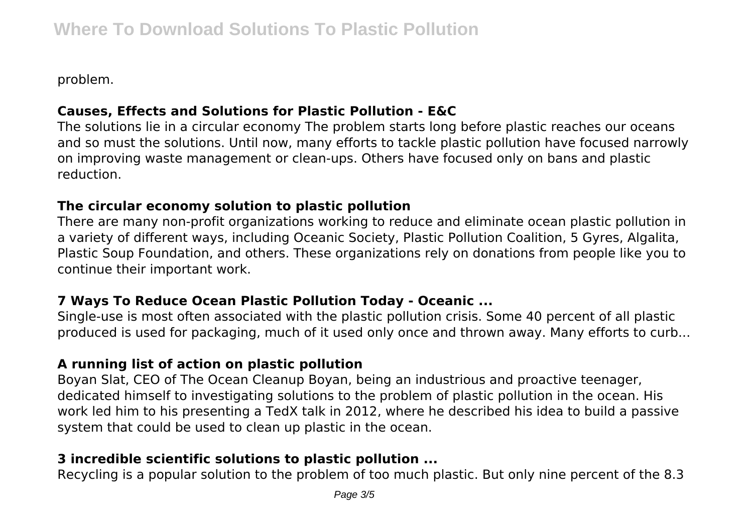problem.

## **Causes, Effects and Solutions for Plastic Pollution - E&C**

The solutions lie in a circular economy The problem starts long before plastic reaches our oceans and so must the solutions. Until now, many efforts to tackle plastic pollution have focused narrowly on improving waste management or clean-ups. Others have focused only on bans and plastic reduction.

#### **The circular economy solution to plastic pollution**

There are many non-profit organizations working to reduce and eliminate ocean plastic pollution in a variety of different ways, including Oceanic Society, Plastic Pollution Coalition, 5 Gyres, Algalita, Plastic Soup Foundation, and others. These organizations rely on donations from people like you to continue their important work.

## **7 Ways To Reduce Ocean Plastic Pollution Today - Oceanic ...**

Single-use is most often associated with the plastic pollution crisis. Some 40 percent of all plastic produced is used for packaging, much of it used only once and thrown away. Many efforts to curb...

## **A running list of action on plastic pollution**

Boyan Slat, CEO of The Ocean Cleanup Boyan, being an industrious and proactive teenager, dedicated himself to investigating solutions to the problem of plastic pollution in the ocean. His work led him to his presenting a TedX talk in 2012, where he described his idea to build a passive system that could be used to clean up plastic in the ocean.

## **3 incredible scientific solutions to plastic pollution ...**

Recycling is a popular solution to the problem of too much plastic. But only nine percent of the 8.3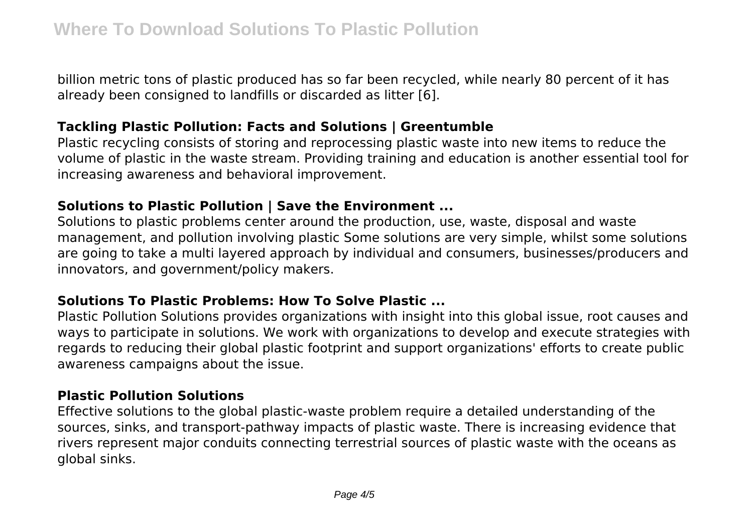billion metric tons of plastic produced has so far been recycled, while nearly 80 percent of it has already been consigned to landfills or discarded as litter [6].

## **Tackling Plastic Pollution: Facts and Solutions | Greentumble**

Plastic recycling consists of storing and reprocessing plastic waste into new items to reduce the volume of plastic in the waste stream. Providing training and education is another essential tool for increasing awareness and behavioral improvement.

## **Solutions to Plastic Pollution | Save the Environment ...**

Solutions to plastic problems center around the production, use, waste, disposal and waste management, and pollution involving plastic Some solutions are very simple, whilst some solutions are going to take a multi layered approach by individual and consumers, businesses/producers and innovators, and government/policy makers.

# **Solutions To Plastic Problems: How To Solve Plastic ...**

Plastic Pollution Solutions provides organizations with insight into this global issue, root causes and ways to participate in solutions. We work with organizations to develop and execute strategies with regards to reducing their global plastic footprint and support organizations' efforts to create public awareness campaigns about the issue.

# **Plastic Pollution Solutions**

Effective solutions to the global plastic-waste problem require a detailed understanding of the sources, sinks, and transport-pathway impacts of plastic waste. There is increasing evidence that rivers represent major conduits connecting terrestrial sources of plastic waste with the oceans as global sinks.